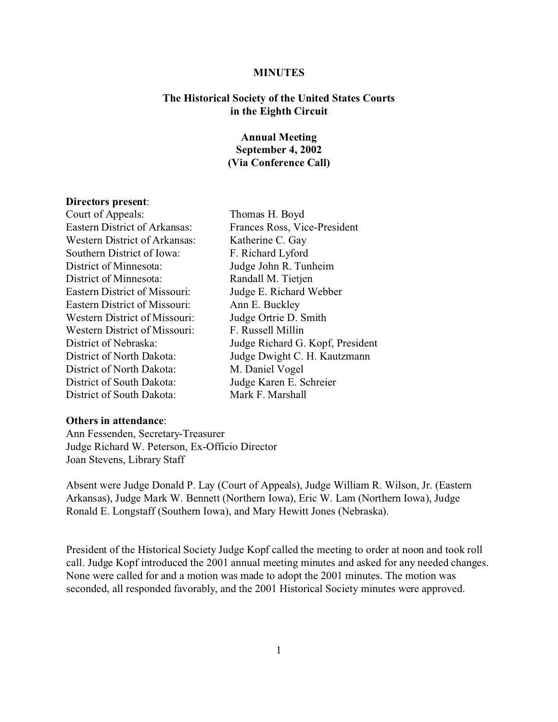### **MINUTES**

# **The Historical Society of the United States Courts in the Eighth Circuit**

# **Annual Meeting September 4, 2002 (Via Conference Call)**

### **Directors present**:

Court of Appeals: Thomas H. Boyd Eastern District of Arkansas: Frances Ross, Vice-President Western District of Arkansas: Katherine C. Gay Southern District of Iowa: F. Richard Lyford District of Minnesota: Judge John R. Tunheim District of Minnesota: Randall M. Tietjen Eastern District of Missouri: Judge E. Richard Webber Eastern District of Missouri: Ann E. Buckley Western District of Missouri: Judge Ortrie D. Smith Western District of Missouri: F. Russell Millin District of North Dakota: M. Daniel Vogel District of South Dakota: Judge Karen E. Schreier District of South Dakota: Mark F. Marshall

# District of Nebraska: Judge Richard G. Kopf, President District of North Dakota: Judge Dwight C. H. Kautzmann

# **Others in attendance**:

Ann Fessenden, Secretary-Treasurer Judge Richard W. Peterson, Ex-Officio Director Joan Stevens, Library Staff

Absent were Judge Donald P. Lay (Court of Appeals), Judge William R. Wilson, Jr. (Eastern Arkansas), Judge Mark W. Bennett (Northern Iowa), Eric W. Lam (Northern Iowa), Judge Ronald E. Longstaff (Southern Iowa), and Mary Hewitt Jones (Nebraska).

President of the Historical Society Judge Kopf called the meeting to order at noon and took roll call. Judge Kopf introduced the 2001 annual meeting minutes and asked for any needed changes. None were called for and a motion was made to adopt the 2001 minutes. The motion was seconded, all responded favorably, and the 2001 Historical Society minutes were approved.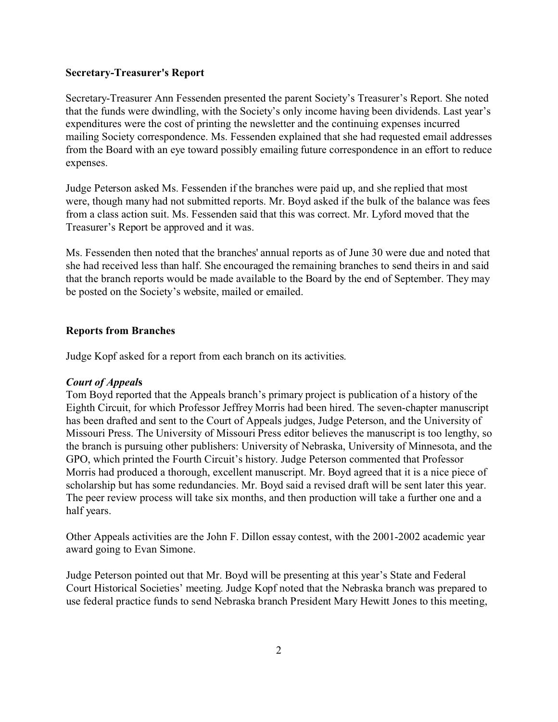# **Secretary-Treasurer's Report**

Secretary-Treasurer Ann Fessenden presented the parent Society's Treasurer's Report. She noted that the funds were dwindling, with the Society's only income having been dividends. Last year's expenditures were the cost of printing the newsletter and the continuing expenses incurred mailing Society correspondence. Ms. Fessenden explained that she had requested email addresses from the Board with an eye toward possibly emailing future correspondence in an effort to reduce expenses.

Judge Peterson asked Ms. Fessenden if the branches were paid up, and she replied that most were, though many had not submitted reports. Mr. Boyd asked if the bulk of the balance was fees from a class action suit. Ms. Fessenden said that this was correct. Mr. Lyford moved that the Treasurer's Report be approved and it was.

Ms. Fessenden then noted that the branches' annual reports as of June 30 were due and noted that she had received less than half. She encouraged the remaining branches to send theirs in and said that the branch reports would be made available to the Board by the end of September. They may be posted on the Society's website, mailed or emailed.

# **Reports from Branches**

Judge Kopf asked for a report from each branch on its activities.

### *Court of Appeal***s**

Tom Boyd reported that the Appeals branch's primary project is publication of a history of the Eighth Circuit, for which Professor Jeffrey Morris had been hired. The seven-chapter manuscript has been drafted and sent to the Court of Appeals judges, Judge Peterson, and the University of Missouri Press. The University of Missouri Press editor believes the manuscript is too lengthy, so the branch is pursuing other publishers: University of Nebraska, University of Minnesota, and the GPO, which printed the Fourth Circuit's history. Judge Peterson commented that Professor Morris had produced a thorough, excellent manuscript. Mr. Boyd agreed that it is a nice piece of scholarship but has some redundancies. Mr. Boyd said a revised draft will be sent later this year. The peer review process will take six months, and then production will take a further one and a half years.

Other Appeals activities are the John F. Dillon essay contest, with the 2001-2002 academic year award going to Evan Simone.

Judge Peterson pointed out that Mr. Boyd will be presenting at this year's State and Federal Court Historical Societies' meeting. Judge Kopf noted that the Nebraska branch was prepared to use federal practice funds to send Nebraska branch President Mary Hewitt Jones to this meeting,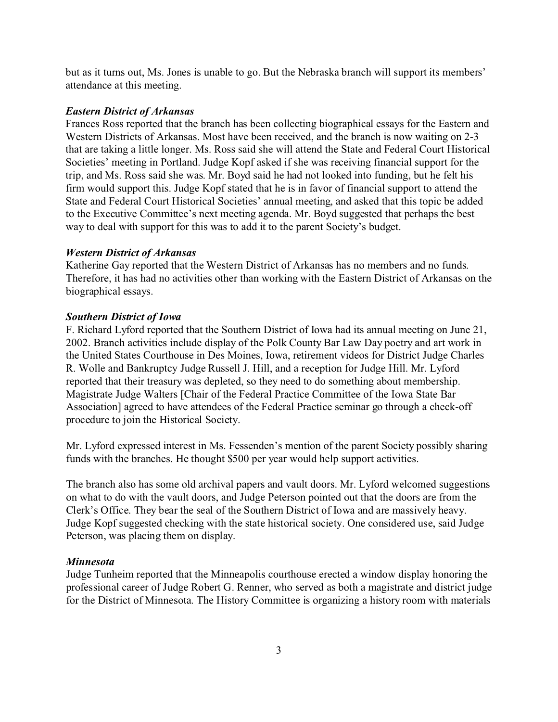but as it turns out, Ms. Jones is unable to go. But the Nebraska branch will support its members' attendance at this meeting.

### *Eastern District of Arkansas*

Frances Ross reported that the branch has been collecting biographical essays for the Eastern and Western Districts of Arkansas. Most have been received, and the branch is now waiting on 2-3 that are taking a little longer. Ms. Ross said she will attend the State and Federal Court Historical Societies' meeting in Portland. Judge Kopf asked if she was receiving financial support for the trip, and Ms. Ross said she was. Mr. Boyd said he had not looked into funding, but he felt his firm would support this. Judge Kopf stated that he is in favor of financial support to attend the State and Federal Court Historical Societies' annual meeting, and asked that this topic be added to the Executive Committee's next meeting agenda. Mr. Boyd suggested that perhaps the best way to deal with support for this was to add it to the parent Society's budget.

### *Western District of Arkansas*

Katherine Gay reported that the Western District of Arkansas has no members and no funds. Therefore, it has had no activities other than working with the Eastern District of Arkansas on the biographical essays.

### *Southern District of Iowa*

F. Richard Lyford reported that the Southern District of Iowa had its annual meeting on June 21, 2002. Branch activities include display of the Polk County Bar Law Day poetry and art work in the United States Courthouse in Des Moines, Iowa, retirement videos for District Judge Charles R. Wolle and Bankruptcy Judge Russell J. Hill, and a reception for Judge Hill. Mr. Lyford reported that their treasury was depleted, so they need to do something about membership. Magistrate Judge Walters [Chair of the Federal Practice Committee of the Iowa State Bar Association] agreed to have attendees of the Federal Practice seminar go through a check-off procedure to join the Historical Society.

Mr. Lyford expressed interest in Ms. Fessenden's mention of the parent Society possibly sharing funds with the branches. He thought \$500 per year would help support activities.

The branch also has some old archival papers and vault doors. Mr. Lyford welcomed suggestions on what to do with the vault doors, and Judge Peterson pointed out that the doors are from the Clerk's Office. They bear the seal of the Southern District of Iowa and are massively heavy. Judge Kopf suggested checking with the state historical society. One considered use, said Judge Peterson, was placing them on display.

### *Minnesota*

Judge Tunheim reported that the Minneapolis courthouse erected a window display honoring the professional career of Judge Robert G. Renner, who served as both a magistrate and district judge for the District of Minnesota. The History Committee is organizing a history room with materials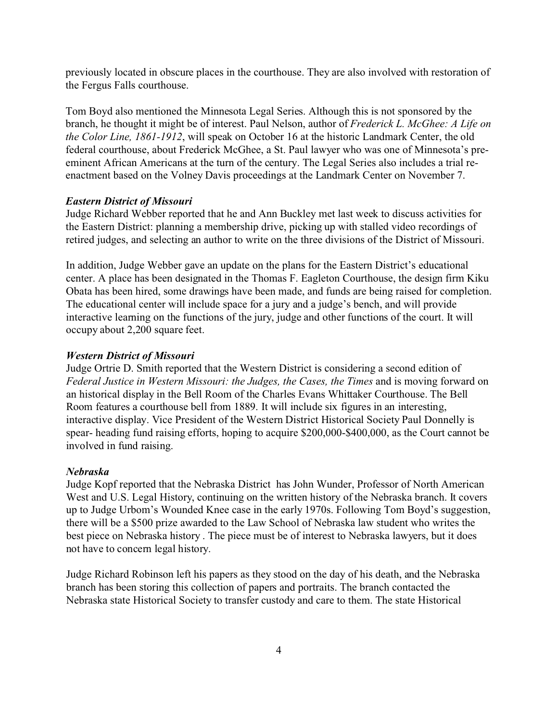previously located in obscure places in the courthouse. They are also involved with restoration of the Fergus Falls courthouse.

Tom Boyd also mentioned the Minnesota Legal Series. Although this is not sponsored by the branch, he thought it might be of interest. Paul Nelson, author of *Frederick L. McGhee: A Life on the Color Line, 1861-1912*, will speak on October 16 at the historic Landmark Center, the old federal courthouse, about Frederick McGhee, a St. Paul lawyer who was one of Minnesota's preeminent African Americans at the turn of the century. The Legal Series also includes a trial reenactment based on the Volney Davis proceedings at the Landmark Center on November 7.

### *Eastern District of Missouri*

Judge Richard Webber reported that he and Ann Buckley met last week to discuss activities for the Eastern District: planning a membership drive, picking up with stalled video recordings of retired judges, and selecting an author to write on the three divisions of the District of Missouri.

In addition, Judge Webber gave an update on the plans for the Eastern District's educational center. A place has been designated in the Thomas F. Eagleton Courthouse, the design firm Kiku Obata has been hired, some drawings have been made, and funds are being raised for completion. The educational center will include space for a jury and a judge's bench, and will provide interactive learning on the functions of the jury, judge and other functions of the court. It will occupy about 2,200 square feet.

### *Western District of Missouri*

Judge Ortrie D. Smith reported that the Western District is considering a second edition of *Federal Justice in Western Missouri: the Judges, the Cases, the Times* and is moving forward on an historical display in the Bell Room of the Charles Evans Whittaker Courthouse. The Bell Room features a courthouse bell from 1889. It will include six figures in an interesting, interactive display. Vice President of the Western District Historical Society Paul Donnelly is spear- heading fund raising efforts, hoping to acquire \$200,000-\$400,000, as the Court cannot be involved in fund raising.

### *Nebraska*

Judge Kopf reported that the Nebraska District has John Wunder, Professor of North American West and U.S. Legal History, continuing on the written history of the Nebraska branch. It covers up to Judge Urbom's Wounded Knee case in the early 1970s. Following Tom Boyd's suggestion, there will be a \$500 prize awarded to the Law School of Nebraska law student who writes the best piece on Nebraska history . The piece must be of interest to Nebraska lawyers, but it does not have to concern legal history.

Judge Richard Robinson left his papers as they stood on the day of his death, and the Nebraska branch has been storing this collection of papers and portraits. The branch contacted the Nebraska state Historical Society to transfer custody and care to them. The state Historical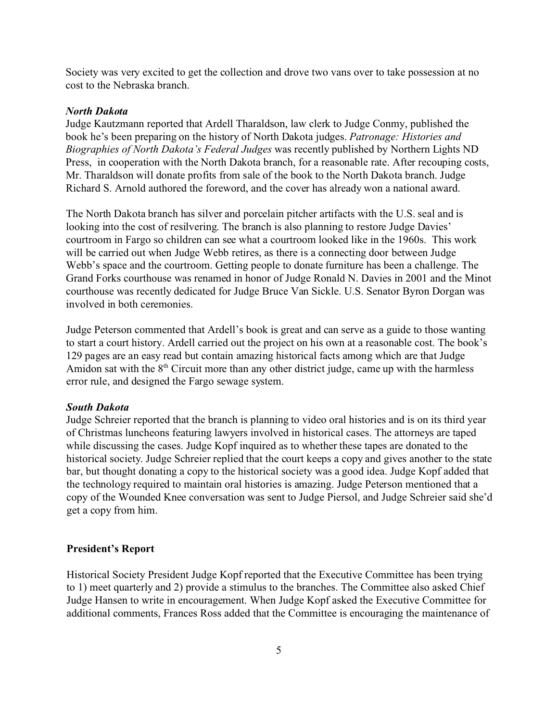Society was very excited to get the collection and drove two vans over to take possession at no cost to the Nebraska branch.

### *North Dakota*

Judge Kautzmann reported that Ardell Tharaldson, law clerk to Judge Conmy, published the book he's been preparing on the history of North Dakota judges. *Patronage: Histories and Biographies of North Dakota's Federal Judges* was recently published by Northern Lights ND Press, in cooperation with the North Dakota branch, for a reasonable rate. After recouping costs, Mr. Tharaldson will donate profits from sale of the book to the North Dakota branch. Judge Richard S. Arnold authored the foreword, and the cover has already won a national award.

The North Dakota branch has silver and porcelain pitcher artifacts with the U.S. seal and is looking into the cost of resilvering. The branch is also planning to restore Judge Davies' courtroom in Fargo so children can see what a courtroom looked like in the 1960s. This work will be carried out when Judge Webb retires, as there is a connecting door between Judge Webb's space and the courtroom. Getting people to donate furniture has been a challenge. The Grand Forks courthouse was renamed in honor of Judge Ronald N. Davies in 2001 and the Minot courthouse was recently dedicated for Judge Bruce Van Sickle. U.S. Senator Byron Dorgan was involved in both ceremonies.

Judge Peterson commented that Ardell's book is great and can serve as a guide to those wanting to start a court history. Ardell carried out the project on his own at a reasonable cost. The book's 129 pages are an easy read but contain amazing historical facts among which are that Judge Amidon sat with the  $8<sup>th</sup>$  Circuit more than any other district judge, came up with the harmless error rule, and designed the Fargo sewage system.

### *South Dakota*

Judge Schreier reported that the branch is planning to video oral histories and is on its third year of Christmas luncheons featuring lawyers involved in historical cases. The attorneys are taped while discussing the cases. Judge Kopf inquired as to whether these tapes are donated to the historical society. Judge Schreier replied that the court keeps a copy and gives another to the state bar, but thought donating a copy to the historical society was a good idea. Judge Kopf added that the technology required to maintain oral histories is amazing. Judge Peterson mentioned that a copy of the Wounded Knee conversation was sent to Judge Piersol, and Judge Schreier said she'd get a copy from him.

### **President's Report**

Historical Society President Judge Kopf reported that the Executive Committee has been trying to 1) meet quarterly and 2) provide a stimulus to the branches. The Committee also asked Chief Judge Hansen to write in encouragement. When Judge Kopf asked the Executive Committee for additional comments, Frances Ross added that the Committee is encouraging the maintenance of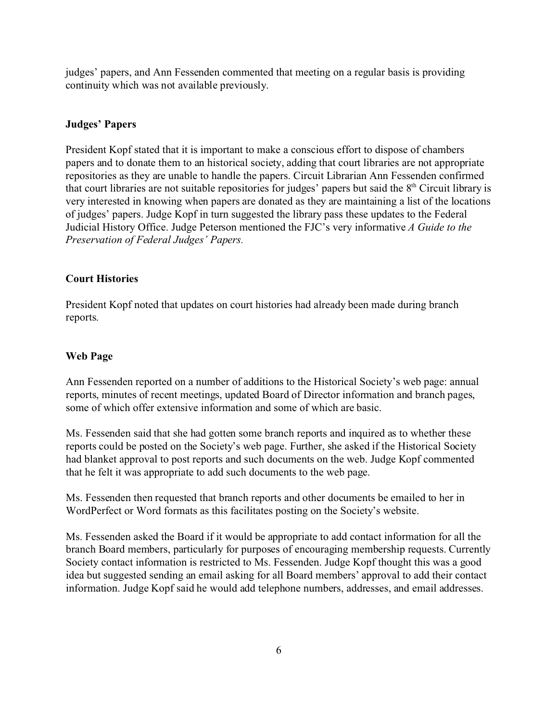judges' papers, and Ann Fessenden commented that meeting on a regular basis is providing continuity which was not available previously.

# **Judges' Papers**

President Kopf stated that it is important to make a conscious effort to dispose of chambers papers and to donate them to an historical society, adding that court libraries are not appropriate repositories as they are unable to handle the papers. Circuit Librarian Ann Fessenden confirmed that court libraries are not suitable repositories for judges' papers but said the  $8<sup>th</sup>$  Circuit library is very interested in knowing when papers are donated as they are maintaining a list of the locations of judges' papers. Judge Kopf in turn suggested the library pass these updates to the Federal Judicial History Office. Judge Peterson mentioned the FJC's very informative *A Guide to the Preservation of Federal Judges' Papers.*

# **Court Histories**

President Kopf noted that updates on court histories had already been made during branch reports.

# **Web Page**

Ann Fessenden reported on a number of additions to the Historical Society's web page: annual reports, minutes of recent meetings, updated Board of Director information and branch pages, some of which offer extensive information and some of which are basic.

Ms. Fessenden said that she had gotten some branch reports and inquired as to whether these reports could be posted on the Society's web page. Further, she asked if the Historical Society had blanket approval to post reports and such documents on the web. Judge Kopf commented that he felt it was appropriate to add such documents to the web page.

Ms. Fessenden then requested that branch reports and other documents be emailed to her in WordPerfect or Word formats as this facilitates posting on the Society's website.

Ms. Fessenden asked the Board if it would be appropriate to add contact information for all the branch Board members, particularly for purposes of encouraging membership requests. Currently Society contact information is restricted to Ms. Fessenden. Judge Kopf thought this was a good idea but suggested sending an email asking for all Board members' approval to add their contact information. Judge Kopf said he would add telephone numbers, addresses, and email addresses.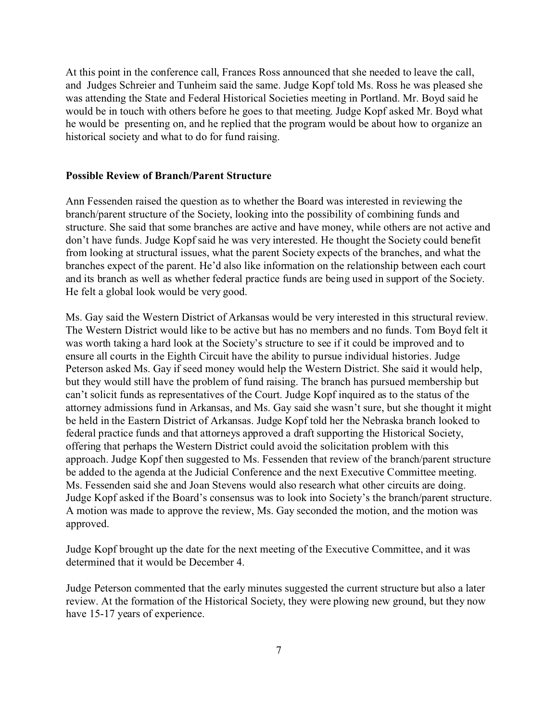At this point in the conference call, Frances Ross announced that she needed to leave the call, and Judges Schreier and Tunheim said the same. Judge Kopf told Ms. Ross he was pleased she was attending the State and Federal Historical Societies meeting in Portland. Mr. Boyd said he would be in touch with others before he goes to that meeting. Judge Kopf asked Mr. Boyd what he would be presenting on, and he replied that the program would be about how to organize an historical society and what to do for fund raising.

# **Possible Review of Branch/Parent Structure**

Ann Fessenden raised the question as to whether the Board was interested in reviewing the branch/parent structure of the Society, looking into the possibility of combining funds and structure. She said that some branches are active and have money, while others are not active and don't have funds. Judge Kopf said he was very interested. He thought the Society could benefit from looking at structural issues, what the parent Society expects of the branches, and what the branches expect of the parent. He'd also like information on the relationship between each court and its branch as well as whether federal practice funds are being used in support of the Society. He felt a global look would be very good.

Ms. Gay said the Western District of Arkansas would be very interested in this structural review. The Western District would like to be active but has no members and no funds. Tom Boyd felt it was worth taking a hard look at the Society's structure to see if it could be improved and to ensure all courts in the Eighth Circuit have the ability to pursue individual histories. Judge Peterson asked Ms. Gay if seed money would help the Western District. She said it would help, but they would still have the problem of fund raising. The branch has pursued membership but can't solicit funds as representatives of the Court. Judge Kopf inquired as to the status of the attorney admissions fund in Arkansas, and Ms. Gay said she wasn't sure, but she thought it might be held in the Eastern District of Arkansas. Judge Kopf told her the Nebraska branch looked to federal practice funds and that attorneys approved a draft supporting the Historical Society, offering that perhaps the Western District could avoid the solicitation problem with this approach. Judge Kopf then suggested to Ms. Fessenden that review of the branch/parent structure be added to the agenda at the Judicial Conference and the next Executive Committee meeting. Ms. Fessenden said she and Joan Stevens would also research what other circuits are doing. Judge Kopf asked if the Board's consensus was to look into Society's the branch/parent structure. A motion was made to approve the review, Ms. Gay seconded the motion, and the motion was approved.

Judge Kopf brought up the date for the next meeting of the Executive Committee, and it was determined that it would be December 4.

Judge Peterson commented that the early minutes suggested the current structure but also a later review. At the formation of the Historical Society, they were plowing new ground, but they now have 15-17 years of experience.